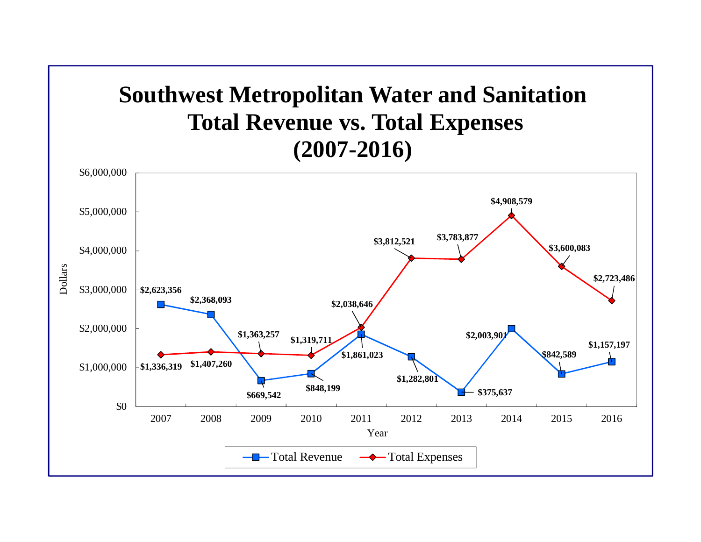

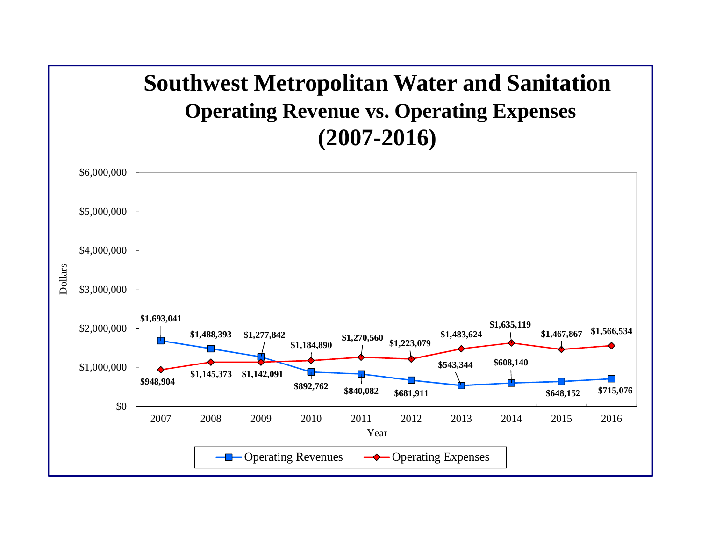## **Southwest Metropolitan Water and Sanitation Operating Revenue vs. Operating Expenses (2007-2016)**

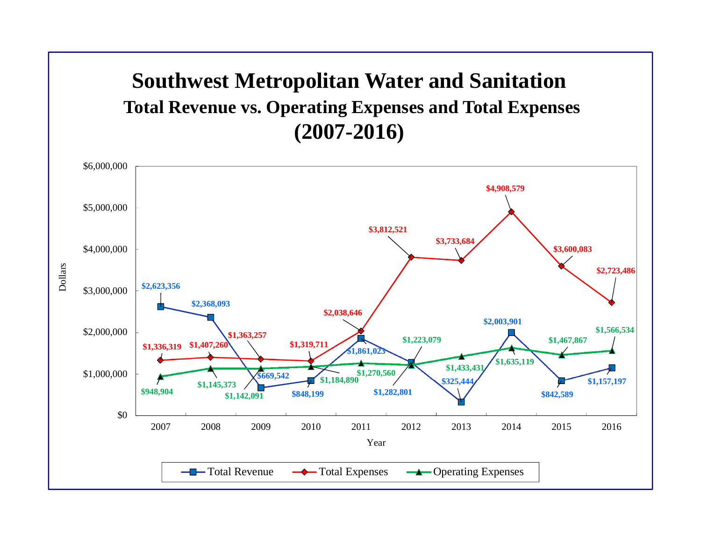## **Southwest Metropolitan Water and Sanitation Total Revenue vs. Operating Expenses and Total Expenses (2007-2016)**